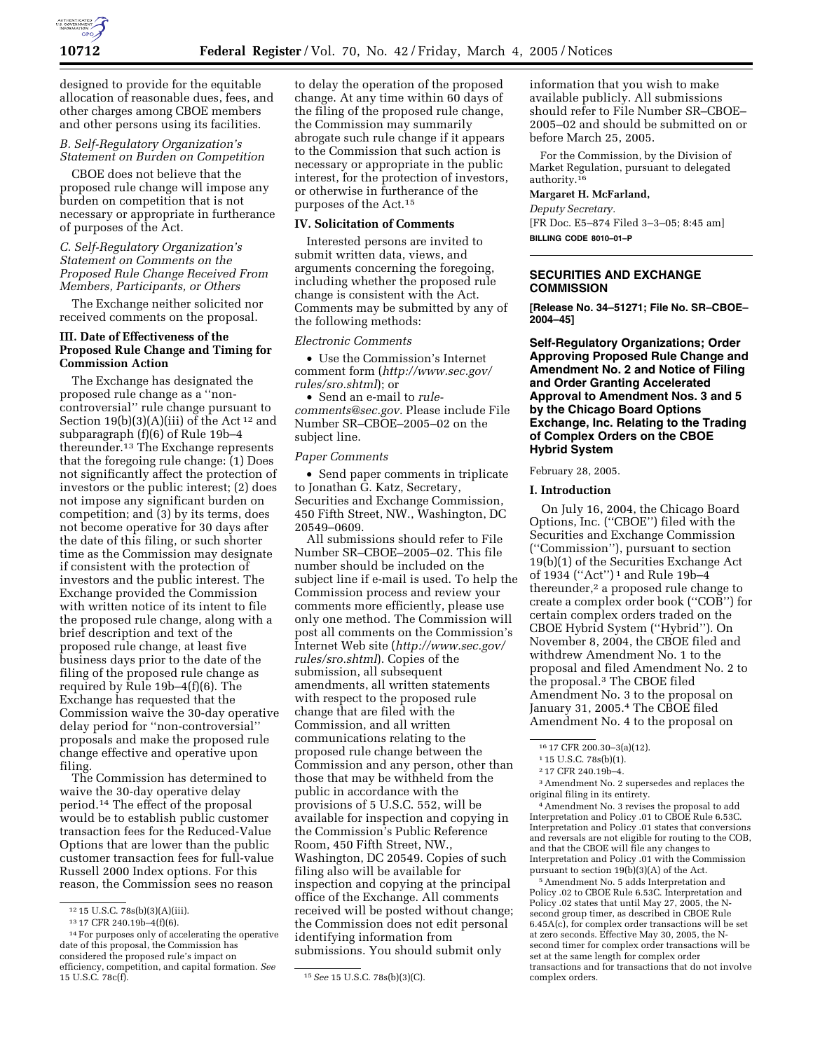

designed to provide for the equitable allocation of reasonable dues, fees, and other charges among CBOE members and other persons using its facilities.

# *B. Self-Regulatory Organization's Statement on Burden on Competition*

CBOE does not believe that the proposed rule change will impose any burden on competition that is not necessary or appropriate in furtherance of purposes of the Act.

*C. Self-Regulatory Organization's Statement on Comments on the Proposed Rule Change Received From Members, Participants, or Others* 

The Exchange neither solicited nor received comments on the proposal.

### **III. Date of Effectiveness of the Proposed Rule Change and Timing for Commission Action**

The Exchange has designated the proposed rule change as a ''noncontroversial'' rule change pursuant to Section  $19(b)(3)(A)(iii)$  of the Act<sup>12</sup> and subparagraph (f)(6) of Rule 19b–4 thereunder.13 The Exchange represents that the foregoing rule change: (1) Does not significantly affect the protection of investors or the public interest; (2) does not impose any significant burden on competition; and (3) by its terms, does not become operative for 30 days after the date of this filing, or such shorter time as the Commission may designate if consistent with the protection of investors and the public interest. The Exchange provided the Commission with written notice of its intent to file the proposed rule change, along with a brief description and text of the proposed rule change, at least five business days prior to the date of the filing of the proposed rule change as required by Rule 19b–4(f)(6). The Exchange has requested that the Commission waive the 30-day operative delay period for ''non-controversial'' proposals and make the proposed rule change effective and operative upon filing.

The Commission has determined to waive the 30-day operative delay period.14 The effect of the proposal would be to establish public customer transaction fees for the Reduced-Value Options that are lower than the public customer transaction fees for full-value Russell 2000 Index options. For this reason, the Commission sees no reason to delay the operation of the proposed change. At any time within 60 days of the filing of the proposed rule change, the Commission may summarily abrogate such rule change if it appears to the Commission that such action is necessary or appropriate in the public interest, for the protection of investors, or otherwise in furtherance of the purposes of the Act.15

#### **IV. Solicitation of Comments**

Interested persons are invited to submit written data, views, and arguments concerning the foregoing, including whether the proposed rule change is consistent with the Act. Comments may be submitted by any of the following methods:

#### *Electronic Comments*

• Use the Commission's Internet comment form (*http://www.sec.gov/ rules/sro.shtml*); or

• Send an e-mail to *rulecomments@sec.gov.* Please include File Number SR–CBOE–2005–02 on the subject line.

#### *Paper Comments*

• Send paper comments in triplicate to Jonathan G. Katz, Secretary, Securities and Exchange Commission, 450 Fifth Street, NW., Washington, DC 20549–0609.

All submissions should refer to File Number SR–CBOE–2005–02. This file number should be included on the subject line if e-mail is used. To help the Commission process and review your comments more efficiently, please use only one method. The Commission will post all comments on the Commission's Internet Web site (*http://www.sec.gov/ rules/sro.shtml*). Copies of the submission, all subsequent amendments, all written statements with respect to the proposed rule change that are filed with the Commission, and all written communications relating to the proposed rule change between the Commission and any person, other than those that may be withheld from the public in accordance with the provisions of 5 U.S.C. 552, will be available for inspection and copying in the Commission's Public Reference Room, 450 Fifth Street, NW., Washington, DC 20549. Copies of such filing also will be available for inspection and copying at the principal office of the Exchange. All comments received will be posted without change; the Commission does not edit personal identifying information from submissions. You should submit only

information that you wish to make available publicly. All submissions should refer to File Number SR–CBOE– 2005–02 and should be submitted on or before March 25, 2005.

For the Commission, by the Division of Market Regulation, pursuant to delegated authority.<sup>16</sup>

### **Margaret H. McFarland,**

*Deputy Secretary.* [FR Doc. E5–874 Filed 3–3–05; 8:45 am] **BILLING CODE 8010–01–P**

## **SECURITIES AND EXCHANGE COMMISSION**

**[Release No. 34–51271; File No. SR–CBOE– 2004–45]** 

**Self-Regulatory Organizations; Order Approving Proposed Rule Change and Amendment No. 2 and Notice of Filing and Order Granting Accelerated Approval to Amendment Nos. 3 and 5 by the Chicago Board Options Exchange, Inc. Relating to the Trading of Complex Orders on the CBOE Hybrid System** 

February 28, 2005.

#### **I. Introduction**

On July 16, 2004, the Chicago Board Options, Inc. (''CBOE'') filed with the Securities and Exchange Commission (''Commission''), pursuant to section 19(b)(1) of the Securities Exchange Act of 1934 (''Act'') 1 and Rule 19b–4 thereunder,<sup>2</sup> a proposed rule change to create a complex order book (''COB'') for certain complex orders traded on the CBOE Hybrid System (''Hybrid''). On November 8, 2004, the CBOE filed and withdrew Amendment No. 1 to the proposal and filed Amendment No. 2 to the proposal.3 The CBOE filed Amendment No. 3 to the proposal on January 31, 2005.<sup>4</sup> The CBOE filed Amendment No. 4 to the proposal on

3Amendment No. 2 supersedes and replaces the original filing in its entirety.

4Amendment No. 3 revises the proposal to add Interpretation and Policy .01 to CBOE Rule 6.53C. Interpretation and Policy .01 states that conversions and reversals are not eligible for routing to the COB, and that the CBOE will file any changes to Interpretation and Policy .01 with the Commission pursuant to section 19(b)(3)(A) of the Act.

5Amendment No. 5 adds Interpretation and Policy .02 to CBOE Rule 6.53C. Interpretation and Policy .02 states that until May 27, 2005, the Nsecond group timer, as described in CBOE Rule 6.45A(c), for complex order transactions will be set at zero seconds. Effective May 30, 2005, the Nsecond timer for complex order transactions will be set at the same length for complex order transactions and for transactions that do not involve complex orders.

<sup>12</sup> 15 U.S.C. 78s(b)(3)(A)(iii).

<sup>13</sup> 17 CFR 240.19b–4(f)(6).

<sup>&</sup>lt;sup>14</sup> For purposes only of accelerating the operative date of this proposal, the Commission has considered the proposed rule's impact on efficiency, competition, and capital formation. *See* 15 U.S.C. 78c(f). 15*See* 15 U.S.C. 78s(b)(3)(C).

<sup>16</sup> 17 CFR 200.30–3(a)(12).

<sup>1</sup> 15 U.S.C. 78s(b)(1).

<sup>2</sup> 17 CFR 240.19b–4.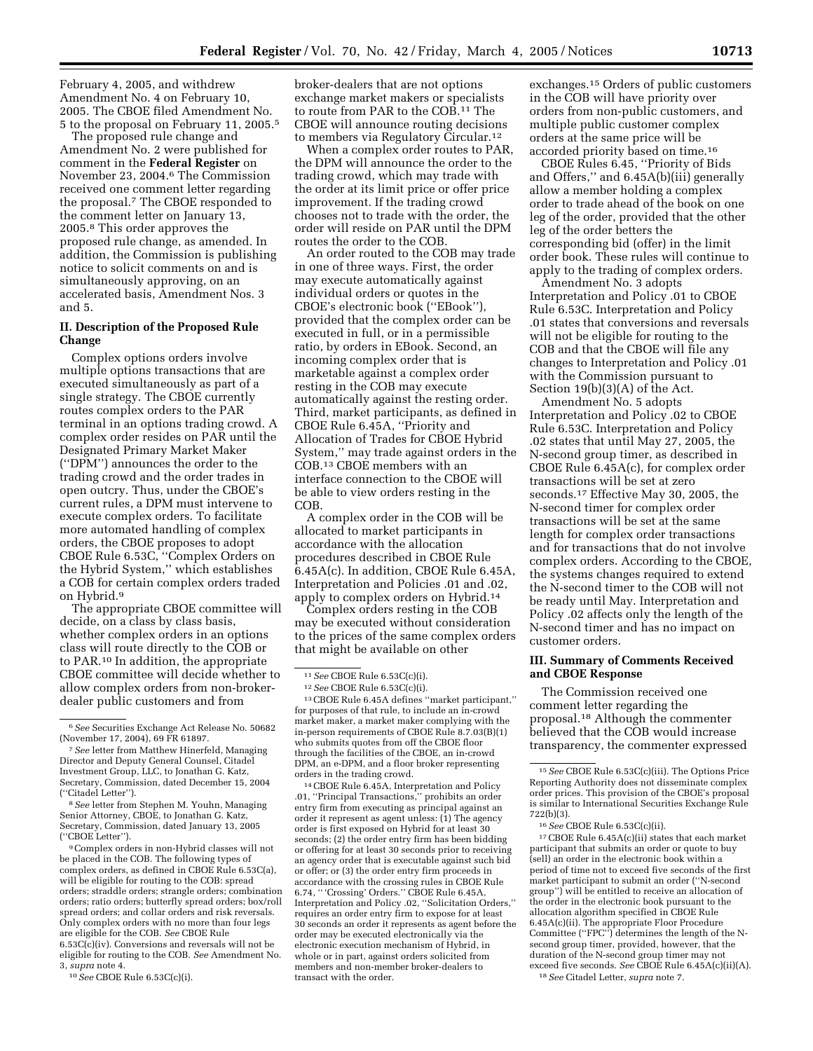February 4, 2005, and withdrew Amendment No. 4 on February 10, 2005. The CBOE filed Amendment No. 5 to the proposal on February 11, 2005.5

The proposed rule change and Amendment No. 2 were published for comment in the **Federal Register** on November 23, 2004.6 The Commission received one comment letter regarding the proposal.7 The CBOE responded to the comment letter on January 13, 2005.8 This order approves the proposed rule change, as amended. In addition, the Commission is publishing notice to solicit comments on and is simultaneously approving, on an accelerated basis, Amendment Nos. 3 and 5.

### **II. Description of the Proposed Rule Change**

Complex options orders involve multiple options transactions that are executed simultaneously as part of a single strategy. The CBOE currently routes complex orders to the PAR terminal in an options trading crowd. A complex order resides on PAR until the Designated Primary Market Maker (''DPM'') announces the order to the trading crowd and the order trades in open outcry. Thus, under the CBOE's current rules, a DPM must intervene to execute complex orders. To facilitate more automated handling of complex orders, the CBOE proposes to adopt CBOE Rule 6.53C, ''Complex Orders on the Hybrid System,'' which establishes a COB for certain complex orders traded on Hybrid.9

The appropriate CBOE committee will decide, on a class by class basis, whether complex orders in an options class will route directly to the COB or to PAR.10 In addition, the appropriate CBOE committee will decide whether to allow complex orders from non-brokerdealer public customers and from

9Complex orders in non-Hybrid classes will not be placed in the COB. The following types of complex orders, as defined in CBOE Rule 6.53C(a), will be eligible for routing to the COB: spread orders; straddle orders; strangle orders; combination orders; ratio orders; butterfly spread orders; box/roll spread orders; and collar orders and risk reversals. Only complex orders with no more than four legs are eligible for the COB. *See* CBOE Rule 6.53C(c)(iv). Conversions and reversals will not be eligible for routing to the COB. *See* Amendment No. 3, *supra* note 4.

10*See* CBOE Rule 6.53C(c)(i).

broker-dealers that are not options exchange market makers or specialists to route from PAR to the COB.11 The CBOE will announce routing decisions to members via Regulatory Circular.12

When a complex order routes to PAR, the DPM will announce the order to the trading crowd, which may trade with the order at its limit price or offer price improvement. If the trading crowd chooses not to trade with the order, the order will reside on PAR until the DPM routes the order to the COB.

An order routed to the COB may trade in one of three ways. First, the order may execute automatically against individual orders or quotes in the CBOE's electronic book (''EBook''), provided that the complex order can be executed in full, or in a permissible ratio, by orders in EBook. Second, an incoming complex order that is marketable against a complex order resting in the COB may execute automatically against the resting order. Third, market participants, as defined in CBOE Rule 6.45A, ''Priority and Allocation of Trades for CBOE Hybrid System,'' may trade against orders in the COB.13 CBOE members with an interface connection to the CBOE will be able to view orders resting in the COB.

A complex order in the COB will be allocated to market participants in accordance with the allocation procedures described in CBOE Rule 6.45A(c). In addition, CBOE Rule 6.45A, Interpretation and Policies .01 and .02, apply to complex orders on Hybrid.14

Complex orders resting in the COB may be executed without consideration to the prices of the same complex orders that might be available on other

13CBOE Rule 6.45A defines ''market participant,'' for purposes of that rule, to include an in-crowd market maker, a market maker complying with the in-person requirements of CBOE Rule 8.7.03(B)(1) who submits quotes from off the CBOE floor through the facilities of the CBOE, an in-crowd DPM, an e-DPM, and a floor broker representing orders in the trading crowd.

14CBOE Rule 6.45A, Interpretation and Policy .01, ''Principal Transactions,'' prohibits an order entry firm from executing as principal against an order it represent as agent unless: (1) The agency order is first exposed on Hybrid for at least 30 seconds; (2) the order entry firm has been bidding or offering for at least 30 seconds prior to receiving an agency order that is executable against such bid or offer; or (3) the order entry firm proceeds in accordance with the crossing rules in CBOE Rule 6.74, '' 'Crossing' Orders.'' CBOE Rule 6.45A, Interpretation and Policy .02, ''Solicitation Orders,'' requires an order entry firm to expose for at least 30 seconds an order it represents as agent before the order may be executed electronically via the electronic execution mechanism of Hybrid, in whole or in part, against orders solicited from members and non-member broker-dealers to transact with the order.

exchanges.15 Orders of public customers in the COB will have priority over orders from non-public customers, and multiple public customer complex orders at the same price will be accorded priority based on time.16

CBOE Rules 6.45, ''Priority of Bids and Offers,'' and 6.45A(b)(iii) generally allow a member holding a complex order to trade ahead of the book on one leg of the order, provided that the other leg of the order betters the corresponding bid (offer) in the limit order book. These rules will continue to apply to the trading of complex orders.

Amendment No. 3 adopts Interpretation and Policy .01 to CBOE Rule 6.53C. Interpretation and Policy .01 states that conversions and reversals will not be eligible for routing to the COB and that the CBOE will file any changes to Interpretation and Policy .01 with the Commission pursuant to Section 19(b)(3)(A) of the Act.

Amendment No. 5 adopts Interpretation and Policy .02 to CBOE Rule 6.53C. Interpretation and Policy .02 states that until May 27, 2005, the N-second group timer, as described in CBOE Rule 6.45A(c), for complex order transactions will be set at zero seconds.17 Effective May 30, 2005, the N-second timer for complex order transactions will be set at the same length for complex order transactions and for transactions that do not involve complex orders. According to the CBOE, the systems changes required to extend the N-second timer to the COB will not be ready until May. Interpretation and Policy .02 affects only the length of the N-second timer and has no impact on customer orders.

### **III. Summary of Comments Received and CBOE Response**

The Commission received one comment letter regarding the proposal.18 Although the commenter believed that the COB would increase transparency, the commenter expressed

17CBOE Rule 6.45A(c)(ii) states that each market participant that submits an order or quote to buy (sell) an order in the electronic book within a period of time not to exceed five seconds of the first market participant to submit an order (''N-second group'') will be entitled to receive an allocation of the order in the electronic book pursuant to the allocation algorithm specified in CBOE Rule 6.45A(c)(ii). The appropriate Floor Procedure Committee (''FPC'') determines the length of the Nsecond group timer, provided, however, that the duration of the N-second group timer may not exceed five seconds. *See* CBOE Rule 6.45A(c)(ii)(A). 18*See* Citadel Letter, *supra* note 7.

<sup>6</sup>*See* Securities Exchange Act Release No. 50682 (November 17, 2004), 69 FR 61897.

<sup>7</sup>*See* letter from Matthew Hinerfeld, Managing Director and Deputy General Counsel, Citadel Investment Group, LLC, to Jonathan G. Katz, Secretary, Commission, dated December 15, 2004 (''Citadel Letter'').

<sup>8</sup>*See* letter from Stephen M. Youhn, Managing Senior Attorney, CBOE, to Jonathan G. Katz, Secretary, Commission, dated January 13, 2005 (''CBOE Letter'').

<sup>11</sup>*See* CBOE Rule 6.53C(c)(i).

<sup>12</sup>*See* CBOE Rule 6.53C(c)(i).

<sup>15</sup>*See* CBOE Rule 6.53C(c)(iii). The Options Price Reporting Authority does not disseminate complex order prices. This provision of the CBOE's proposal is similar to International Securities Exchange Rule 722(b)(3).

<sup>16</sup>*See* CBOE Rule 6.53C(c)(ii).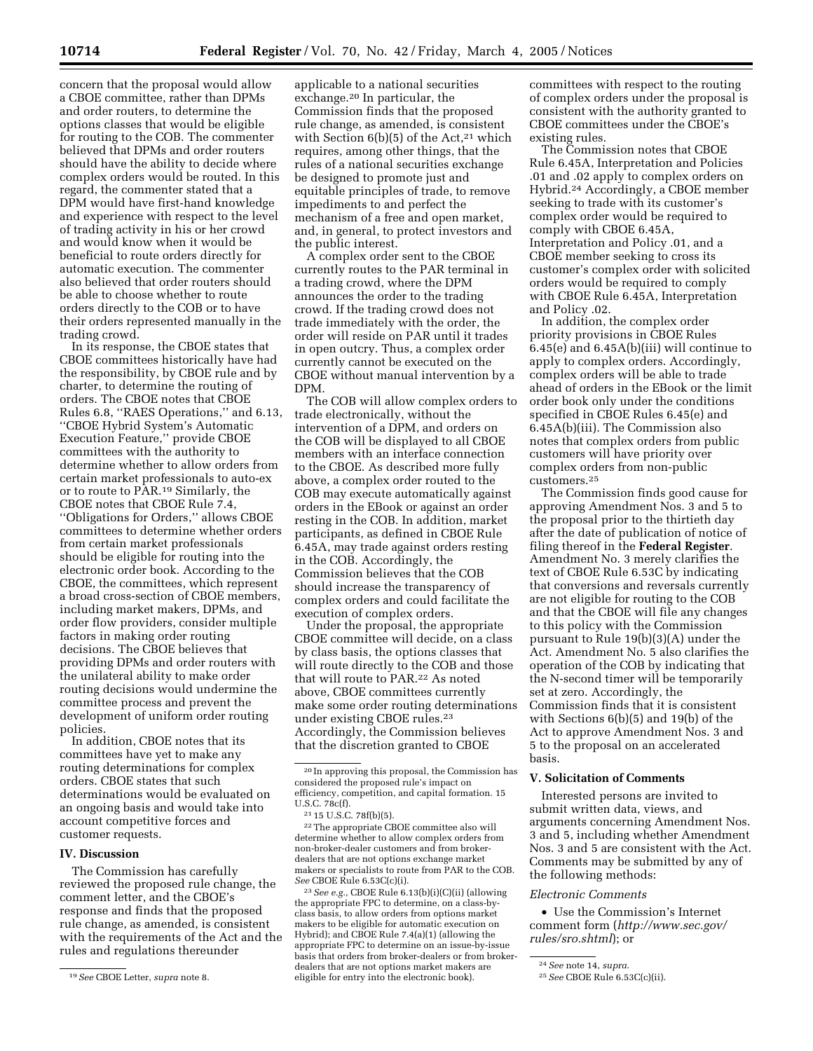concern that the proposal would allow a CBOE committee, rather than DPMs and order routers, to determine the options classes that would be eligible for routing to the COB. The commenter believed that DPMs and order routers should have the ability to decide where complex orders would be routed. In this regard, the commenter stated that a DPM would have first-hand knowledge and experience with respect to the level of trading activity in his or her crowd and would know when it would be beneficial to route orders directly for automatic execution. The commenter also believed that order routers should be able to choose whether to route orders directly to the COB or to have

their orders represented manually in the trading crowd. In its response, the CBOE states that CBOE committees historically have had the responsibility, by CBOE rule and by charter, to determine the routing of orders. The CBOE notes that CBOE Rules 6.8, ''RAES Operations,'' and 6.13, ''CBOE Hybrid System's Automatic Execution Feature,'' provide CBOE committees with the authority to determine whether to allow orders from certain market professionals to auto-ex or to route to PAR.19 Similarly, the CBOE notes that CBOE Rule 7.4, ''Obligations for Orders,'' allows CBOE committees to determine whether orders from certain market professionals should be eligible for routing into the electronic order book. According to the CBOE, the committees, which represent a broad cross-section of CBOE members, including market makers, DPMs, and order flow providers, consider multiple factors in making order routing decisions. The CBOE believes that providing DPMs and order routers with the unilateral ability to make order routing decisions would undermine the committee process and prevent the development of uniform order routing policies.

In addition, CBOE notes that its committees have yet to make any routing determinations for complex orders. CBOE states that such determinations would be evaluated on an ongoing basis and would take into account competitive forces and customer requests.

#### **IV. Discussion**

The Commission has carefully reviewed the proposed rule change, the comment letter, and the CBOE's response and finds that the proposed rule change, as amended, is consistent with the requirements of the Act and the rules and regulations thereunder

applicable to a national securities exchange.20 In particular, the Commission finds that the proposed rule change, as amended, is consistent with Section  $6(b)(5)$  of the Act,<sup>21</sup> which requires, among other things, that the rules of a national securities exchange be designed to promote just and equitable principles of trade, to remove impediments to and perfect the mechanism of a free and open market, and, in general, to protect investors and the public interest.

A complex order sent to the CBOE currently routes to the PAR terminal in a trading crowd, where the DPM announces the order to the trading crowd. If the trading crowd does not trade immediately with the order, the order will reside on PAR until it trades in open outcry. Thus, a complex order currently cannot be executed on the CBOE without manual intervention by a DPM.

The COB will allow complex orders to trade electronically, without the intervention of a DPM, and orders on the COB will be displayed to all CBOE members with an interface connection to the CBOE. As described more fully above, a complex order routed to the COB may execute automatically against orders in the EBook or against an order resting in the COB. In addition, market participants, as defined in CBOE Rule 6.45A, may trade against orders resting in the COB. Accordingly, the Commission believes that the COB should increase the transparency of complex orders and could facilitate the execution of complex orders.

Under the proposal, the appropriate CBOE committee will decide, on a class by class basis, the options classes that will route directly to the COB and those that will route to PAR.22 As noted above, CBOE committees currently make some order routing determinations under existing CBOE rules.23 Accordingly, the Commission believes that the discretion granted to CBOE

22The appropriate CBOE committee also will determine whether to allow complex orders from non-broker-dealer customers and from brokerdealers that are not options exchange market makers or specialists to route from PAR to the COB. *See* CBOE Rule 6.53C(c)(i).

23*See e.g.*, CBOE Rule 6.13(b)(i)(C)(ii) (allowing the appropriate FPC to determine, on a class-byclass basis, to allow orders from options market makers to be eligible for automatic execution on Hybrid); and CBOE Rule 7.4(a)(1) (allowing the appropriate FPC to determine on an issue-by-issue basis that orders from broker-dealers or from brokerdealers that are not options market makers are eligible for entry into the electronic book).

committees with respect to the routing of complex orders under the proposal is consistent with the authority granted to CBOE committees under the CBOE's existing rules.

The Commission notes that CBOE Rule 6.45A, Interpretation and Policies .01 and .02 apply to complex orders on Hybrid.24 Accordingly, a CBOE member seeking to trade with its customer's complex order would be required to comply with CBOE 6.45A, Interpretation and Policy .01, and a CBOE member seeking to cross its customer's complex order with solicited orders would be required to comply with CBOE Rule 6.45A, Interpretation and Policy .02.

In addition, the complex order priority provisions in CBOE Rules 6.45(e) and 6.45A(b)(iii) will continue to apply to complex orders. Accordingly, complex orders will be able to trade ahead of orders in the EBook or the limit order book only under the conditions specified in CBOE Rules 6.45(e) and 6.45A(b)(iii). The Commission also notes that complex orders from public customers will have priority over complex orders from non-public customers.25

The Commission finds good cause for approving Amendment Nos. 3 and 5 to the proposal prior to the thirtieth day after the date of publication of notice of filing thereof in the **Federal Register**. Amendment No. 3 merely clarifies the text of CBOE Rule 6.53C by indicating that conversions and reversals currently are not eligible for routing to the COB and that the CBOE will file any changes to this policy with the Commission pursuant to Rule 19(b)(3)(A) under the Act. Amendment No. 5 also clarifies the operation of the COB by indicating that the N-second timer will be temporarily set at zero. Accordingly, the Commission finds that it is consistent with Sections 6(b)(5) and 19(b) of the Act to approve Amendment Nos. 3 and 5 to the proposal on an accelerated basis.

### **V. Solicitation of Comments**

Interested persons are invited to submit written data, views, and arguments concerning Amendment Nos. 3 and 5, including whether Amendment Nos. 3 and 5 are consistent with the Act. Comments may be submitted by any of the following methods:

#### *Electronic Comments*

• Use the Commission's Internet comment form (*http://www.sec.gov/ rules/sro.shtml*); or

<sup>19</sup>*See* CBOE Letter, *supra* note 8.

<sup>20</sup> In approving this proposal, the Commission has considered the proposed rule's impact on efficiency, competition, and capital formation. 15 U.S.C. 78c(f).

<sup>21</sup> 15 U.S.C. 78f(b)(5).

<sup>24</sup>*See* note 14, *supra*.

<sup>25</sup>*See* CBOE Rule 6.53C(c)(ii).